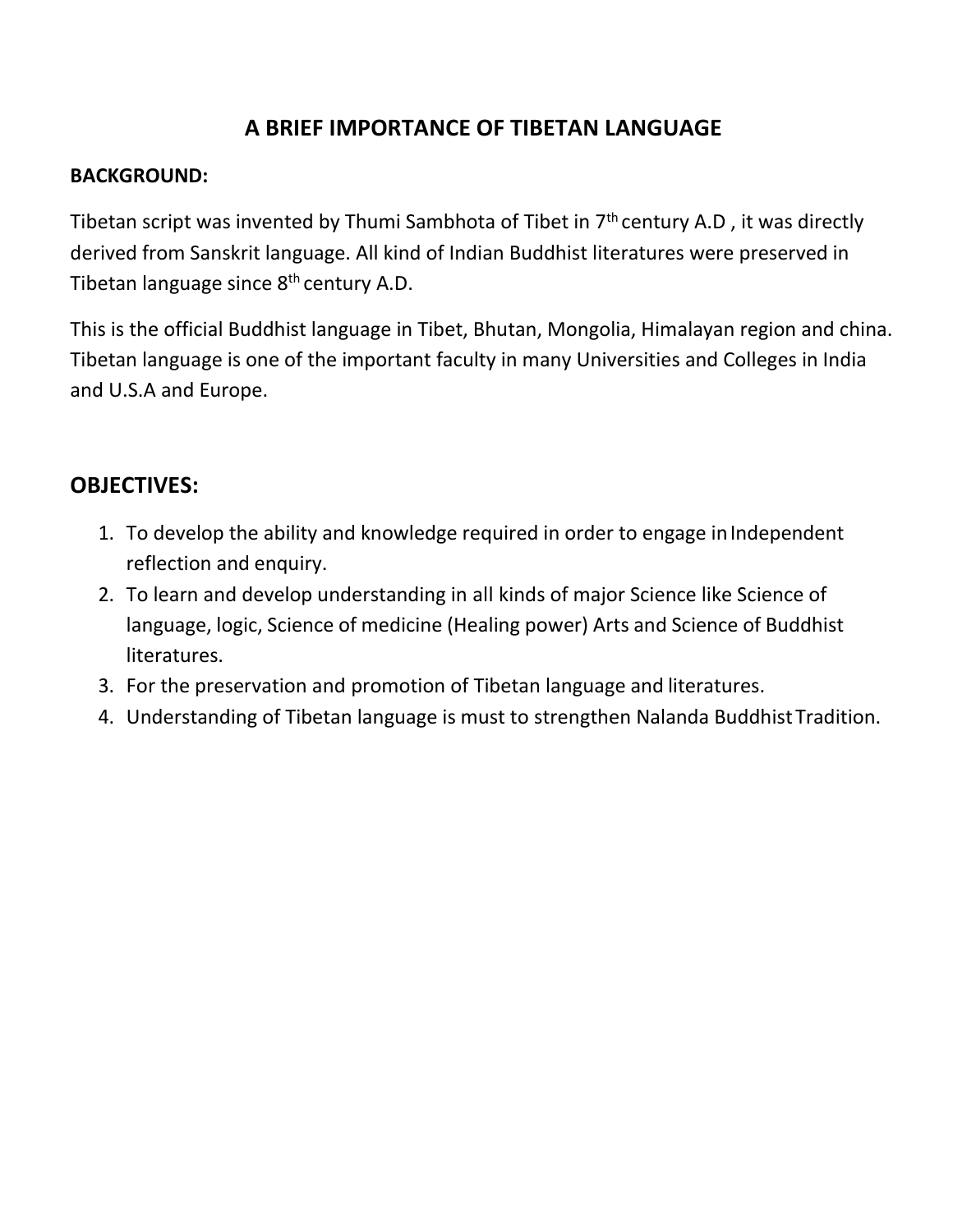# **A BRIEF IMPORTANCE OF TIBETAN LANGUAGE**

## **BACKGROUND:**

Tibetan script was invented by Thumi Sambhota of Tibet in  $7<sup>th</sup>$  century A.D, it was directly derived from Sanskrit language. All kind of Indian Buddhist literatures were preserved in Tibetan language since  $8<sup>th</sup>$  century A.D.

This is the official Buddhist language in Tibet, Bhutan, Mongolia, Himalayan region and china. Tibetan language is one of the important faculty in many Universities and Colleges in India and U.S.A and Europe.

## **OBJECTIVES:**

- 1. To develop the ability and knowledge required in order to engage inIndependent reflection and enquiry.
- 2. To learn and develop understanding in all kinds of major Science like Science of language, logic, Science of medicine (Healing power) Arts and Science of Buddhist literatures.
- 3. For the preservation and promotion of Tibetan language and literatures.
- 4. Understanding of Tibetan language is must to strengthen Nalanda Buddhist Tradition.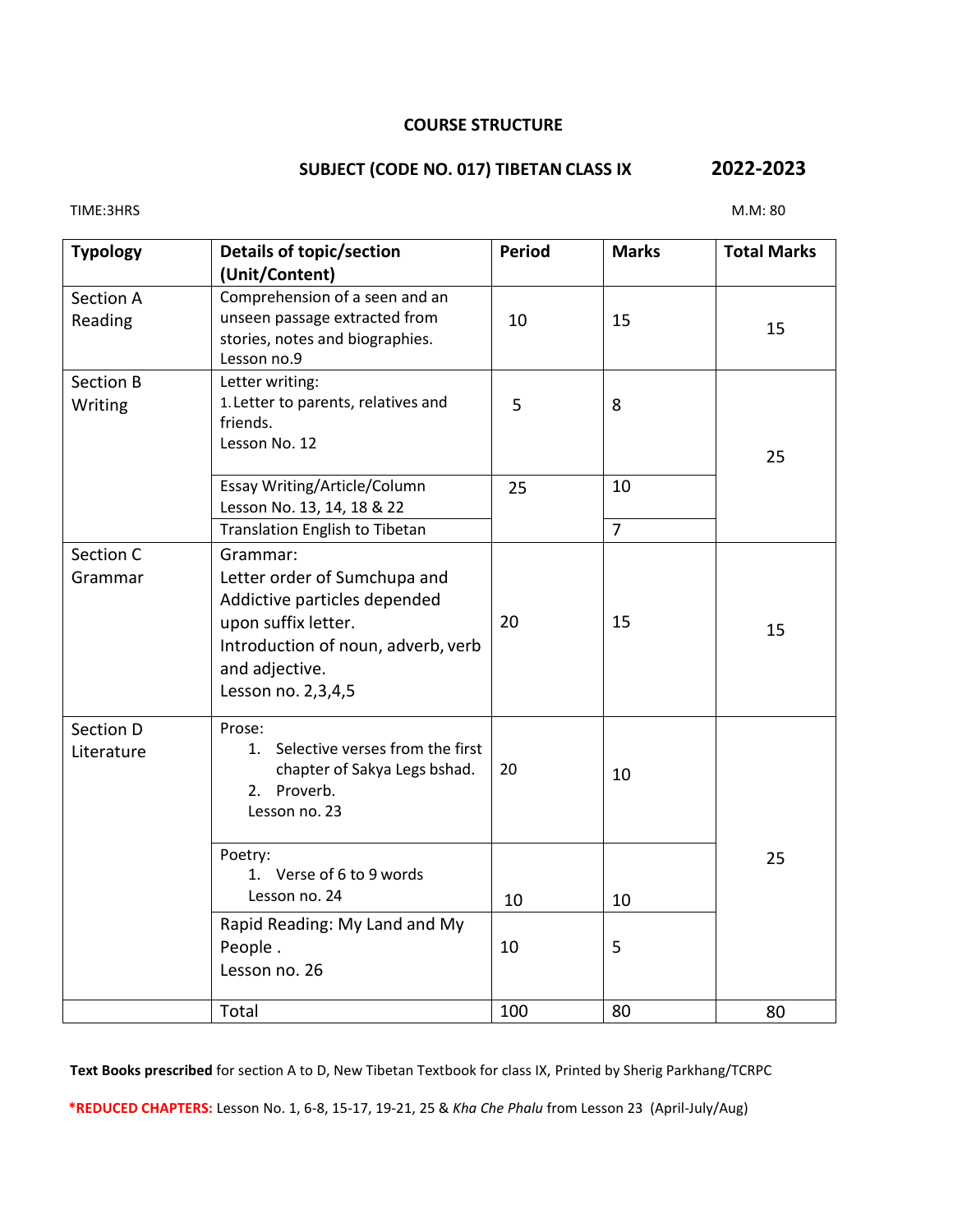#### **COURSE STRUCTURE**

### **SUBJECT (CODE NO. 017) TIBETAN CLASS IX 2022-2023**

| <b>Typology</b>             | Details of topic/section<br>(Unit/Content)                                                                                                                                    | <b>Period</b> | <b>Marks</b>   | <b>Total Marks</b> |
|-----------------------------|-------------------------------------------------------------------------------------------------------------------------------------------------------------------------------|---------------|----------------|--------------------|
| <b>Section A</b><br>Reading | Comprehension of a seen and an<br>unseen passage extracted from<br>stories, notes and biographies.<br>Lesson no.9                                                             | 10            | 15             | 15                 |
| <b>Section B</b><br>Writing | Letter writing:<br>1. Letter to parents, relatives and<br>friends.<br>Lesson No. 12                                                                                           | 5             | 8              | 25                 |
|                             | Essay Writing/Article/Column<br>Lesson No. 13, 14, 18 & 22                                                                                                                    | 25            | 10             |                    |
|                             | <b>Translation English to Tibetan</b>                                                                                                                                         |               | $\overline{7}$ |                    |
| Section C<br>Grammar        | Grammar:<br>Letter order of Sumchupa and<br>Addictive particles depended<br>upon suffix letter.<br>Introduction of noun, adverb, verb<br>and adjective.<br>Lesson no. 2,3,4,5 | 20            | 15             | 15                 |
| Section D<br>Literature     | Prose:<br>1. Selective verses from the first<br>chapter of Sakya Legs bshad.<br>2. Proverb.<br>Lesson no. 23                                                                  | 20            | 10             |                    |
|                             | Poetry:<br>1. Verse of 6 to 9 words<br>Lesson no. 24<br>Rapid Reading: My Land and My<br>People.<br>Lesson no. 26                                                             | 10<br>10      | 10<br>5        | 25                 |
|                             | Total                                                                                                                                                                         | 100           | 80             | 80                 |

**Text Books prescribed** for section A to D, New Tibetan Textbook for class IX, Printed by Sherig Parkhang/TCRPC

**\*REDUCED CHAPTERS:** Lesson No. 1, 6-8, 15-17, 19-21, 25 & *Kha Che Phalu* from Lesson 23 (April-July/Aug)

TIME:3HRS M.M: 80